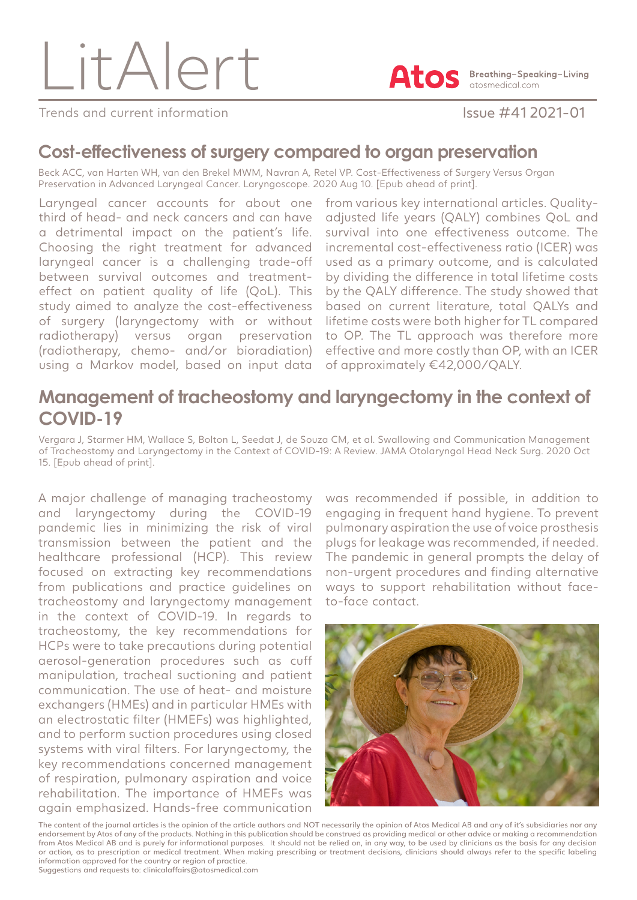LitAlert



**A Breathing-Speaking-Living** atosmedical.com

Trends and current information **Issue #41 2021-01** 

### **Cost-effectiveness of surgery compared to organ preservation**

Beck ACC, van Harten WH, van den Brekel MWM, Navran A, Retel VP. Cost-Effectiveness of Surgery Versus Organ Preservation in Advanced Laryngeal Cancer. Laryngoscope. 2020 Aug 10. [Epub ahead of print].

Laryngeal cancer accounts for about one third of head- and neck cancers and can have a detrimental impact on the patient's life. Choosing the right treatment for advanced laryngeal cancer is a challenging trade-off between survival outcomes and treatmenteffect on patient quality of life (QoL). This study aimed to analyze the cost-effectiveness of surgery (laryngectomy with or without radiotherapy) versus organ preservation (radiotherapy, chemo- and/or bioradiation) using a Markov model, based on input data

from various key international articles. Qualityadjusted life years (QALY) combines QoL and survival into one effectiveness outcome. The incremental cost-effectiveness ratio (ICER) was used as a primary outcome, and is calculated by dividing the difference in total lifetime costs by the QALY difference. The study showed that based on current literature, total QALYs and lifetime costs were both higher for TL compared to OP. The TL approach was therefore more effective and more costly than OP, with an ICER of approximately €42,000/QALY.

## **Management of tracheostomy and laryngectomy in the context of COVID-19**

Vergara J, Starmer HM, Wallace S, Bolton L, Seedat J, de Souza CM, et al. Swallowing and Communication Management of Tracheostomy and Laryngectomy in the Context of COVID-19: A Review. JAMA Otolaryngol Head Neck Surg. 2020 Oct 15. [Epub ahead of print].

A major challenge of managing tracheostomy and laryngectomy during the COVID-19 pandemic lies in minimizing the risk of viral transmission between the patient and the healthcare professional (HCP). This review focused on extracting key recommendations from publications and practice guidelines on tracheostomy and laryngectomy management in the context of COVID-19. In regards to tracheostomy, the key recommendations for HCPs were to take precautions during potential aerosol-generation procedures such as cuff manipulation, tracheal suctioning and patient communication. The use of heat- and moisture exchangers (HMEs) and in particular HMEs with an electrostatic filter (HMEFs) was highlighted, and to perform suction procedures using closed systems with viral filters. For laryngectomy, the key recommendations concerned management of respiration, pulmonary aspiration and voice rehabilitation. The importance of HMEFs was again emphasized. Hands-free communication

was recommended if possible, in addition to engaging in frequent hand hygiene. To prevent pulmonary aspiration the use of voice prosthesis plugs for leakage was recommended, if needed. The pandemic in general prompts the delay of non-urgent procedures and finding alternative ways to support rehabilitation without faceto-face contact.



The content of the journal articles is the opinion of the article authors and NOT necessarily the opinion of Atos Medical AB and any of it's subsidiaries nor any endorsement by Atos of any of the products. Nothing in this publication should be construed as providing medical or other advice or making a recommendation from Atos Medical AB and is purely for informational purposes. It should not be relied on, in any way, to be used by clinicians as the basis for any decision or action, as to prescription or medical treatment. When making prescribing or treatment decisions, clinicians should always refer to the specific labeling information approved for the country or region of practice. Suggestions and requests to: clinicalaffairs@atosmedical.com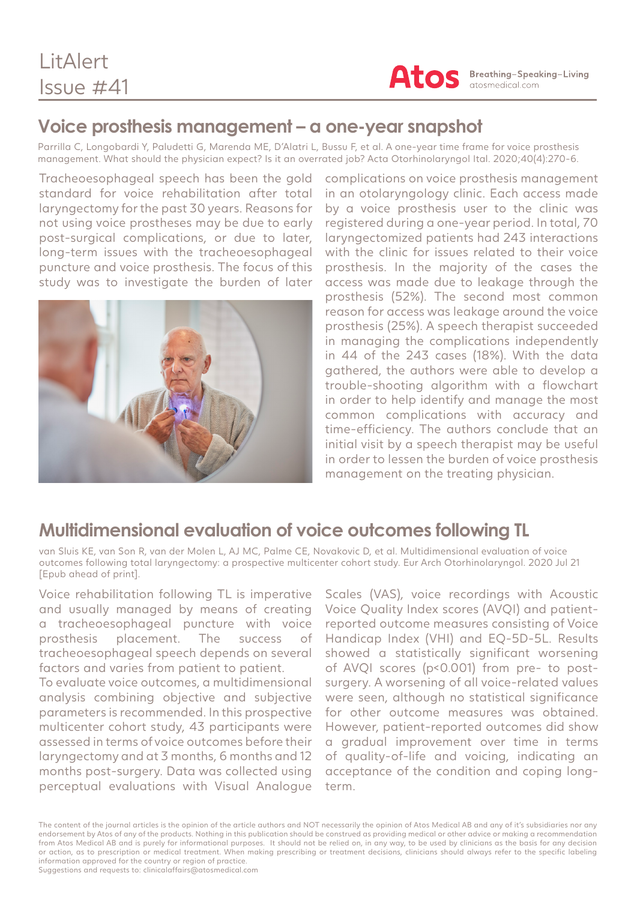

## **Voice prosthesis management – a one-year snapshot**

Parrilla C, Longobardi Y, Paludetti G, Marenda ME, D'Alatri L, Bussu F, et al. A one-year time frame for voice prosthesis management. What should the physician expect? Is it an overrated job? Acta Otorhinolaryngol Ital. 2020;40(4):270-6.

Tracheoesophageal speech has been the gold standard for voice rehabilitation after total laryngectomy for the past 30 years. Reasons for not using voice prostheses may be due to early post-surgical complications, or due to later, long-term issues with the tracheoesophageal puncture and voice prosthesis. The focus of this study was to investigate the burden of later



complications on voice prosthesis management in an otolaryngology clinic. Each access made by a voice prosthesis user to the clinic was registered during a one-year period. In total, 70 laryngectomized patients had 243 interactions with the clinic for issues related to their voice prosthesis. In the majority of the cases the access was made due to leakage through the prosthesis (52%). The second most common reason for access was leakage around the voice prosthesis (25%). A speech therapist succeeded in managing the complications independently in 44 of the 243 cases (18%). With the data gathered, the authors were able to develop a trouble-shooting algorithm with a flowchart in order to help identify and manage the most common complications with accuracy and time-efficiency. The authors conclude that an initial visit by a speech therapist may be useful in order to lessen the burden of voice prosthesis management on the treating physician.

#### **Multidimensional evaluation of voice outcomes following TL**

van Sluis KE, van Son R, van der Molen L, AJ MC, Palme CE, Novakovic D, et al. Multidimensional evaluation of voice outcomes following total laryngectomy: a prospective multicenter cohort study. Eur Arch Otorhinolaryngol. 2020 Jul 21 [Epub ahead of print].

Voice rehabilitation following TL is imperative and usually managed by means of creating a tracheoesophageal puncture with voice prosthesis placement. The success of tracheoesophageal speech depends on several factors and varies from patient to patient.

To evaluate voice outcomes, a multidimensional analysis combining objective and subjective parameters is recommended. In this prospective multicenter cohort study, 43 participants were assessed in terms of voice outcomes before their laryngectomy and at 3 months, 6 months and 12 months post-surgery. Data was collected using perceptual evaluations with Visual Analogue

Scales (VAS), voice recordings with Acoustic Voice Quality Index scores (AVQI) and patientreported outcome measures consisting of Voice Handicap Index (VHI) and EQ-5D-5L. Results showed a statistically significant worsening of AVQI scores (p<0.001) from pre- to postsurgery. A worsening of all voice-related values were seen, although no statistical significance for other outcome measures was obtained. However, patient-reported outcomes did show a gradual improvement over time in terms of quality-of-life and voicing, indicating an acceptance of the condition and coping longterm.

The content of the journal articles is the opinion of the article authors and NOT necessarily the opinion of Atos Medical AB and any of it's subsidiaries nor any endorsement by Atos of any of the products. Nothing in this publication should be construed as providing medical or other advice or making a recommendation from Atos Medical AB and is purely for informational purposes. It should not be relied on, in any way, to be used by clinicians as the basis for any decision or action, as to prescription or medical treatment. When making prescribing or treatment decisions, clinicians should always refer to the specific labeling information approved for the country or region of practice. Suggestions and requests to: clinicalaffairs@atosmedical.com